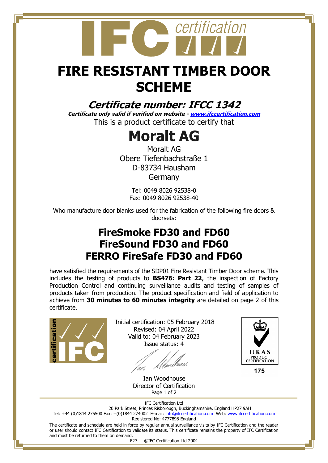

## **FIRE RESISTANT TIMBER DOOR SCHEME**

## **Certificate number: IFCC 1342**

**Certificate only valid if verified on website - [www.ifccertification.com](http://www.ifccertification.com/)** This is a product certificate to certify that

## **Moralt AG**

Moralt AG Obere Tiefenbachstraße 1 D-83734 Hausham Germany

> Tel: 0049 8026 92538-0 Fax: 0049 8026 92538-40

Who manufacture door blanks used for the fabrication of the following fire doors & doorsets:

## **FireSmoke FD30 and FD60 FireSound FD30 and FD60 FERRO FireSafe FD30 and FD60**

have satisfied the requirements of the SDP01 Fire Resistant Timber Door scheme. This includes the testing of products to **BS476: Part 22**, the inspection of Factory Production Control and continuing surveillance audits and testing of samples of products taken from production. The product specification and field of application to achieve from **30 minutes to 60 minutes integrity** are detailed on page 2 of this certificate.



Initial certification: 05 February 2018 Revised: 04 April 2022 Valid to: 04 February 2023 Issue status: 4

lunk. <sup>lun</sup>

 Ian Woodhouse Director of Certification Page 1 of 2



175

IFC Certification Ltd 20 Park Street, Princes Risborough, Buckinghamshire. England HP27 9AH

Tel: +44 (0)1844 275500 Fax: +(0)1844 274002 E-mail[: info@ifccertification.com](mailto:info@ifccertification.com) Web: [www.ifccertification.com](http://www.ifccertification.com/)

Registered No: 4777898 England

The certificate and schedule are held in force by regular annual surveillance visits by IFC Certification and the reader or user should contact IFC Certification to validate its status. This certificate remains the property of IFC Certification and must be returned to them on demand.

F27 ©IFC Certification Ltd 2004